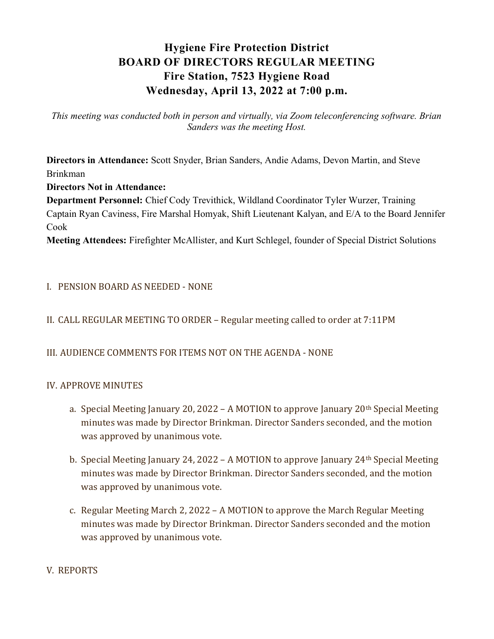# Hygiene Fire Protection District BOARD OF DIRECTORS REGULAR MEETING Fire Station, 7523 Hygiene Road Wednesday, April 13, 2022 at 7:00 p.m.

This meeting was conducted both in person and virtually, via Zoom teleconferencing software. Brian Sanders was the meeting Host.

Directors in Attendance: Scott Snyder, Brian Sanders, Andie Adams, Devon Martin, and Steve Brinkman

## Directors Not in Attendance:

Department Personnel: Chief Cody Trevithick, Wildland Coordinator Tyler Wurzer, Training Captain Ryan Caviness, Fire Marshal Homyak, Shift Lieutenant Kalyan, and E/A to the Board Jennifer Cook

Meeting Attendees: Firefighter McAllister, and Kurt Schlegel, founder of Special District Solutions

# I. PENSION BOARD AS NEEDED - NONE

# II. CALL REGULAR MEETING TO ORDER – Regular meeting called to order at 7:11PM

## III. AUDIENCE COMMENTS FOR ITEMS NOT ON THE AGENDA - NONE

## IV. APPROVE MINUTES

- a. Special Meeting January 20, 2022 A MOTION to approve January 20th Special Meeting minutes was made by Director Brinkman. Director Sanders seconded, and the motion was approved by unanimous vote.
- b. Special Meeting January 24, 2022 A MOTION to approve January 24th Special Meeting minutes was made by Director Brinkman. Director Sanders seconded, and the motion was approved by unanimous vote.
- c. Regular Meeting March 2, 2022 A MOTION to approve the March Regular Meeting minutes was made by Director Brinkman. Director Sanders seconded and the motion was approved by unanimous vote.

## V. REPORTS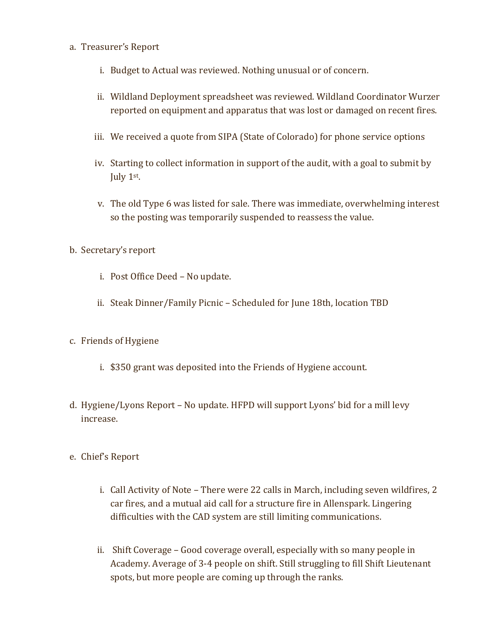#### a. Treasurer's Report

- i. Budget to Actual was reviewed. Nothing unusual or of concern.
- ii. Wildland Deployment spreadsheet was reviewed. Wildland Coordinator Wurzer reported on equipment and apparatus that was lost or damaged on recent fires.
- iii. We received a quote from SIPA (State of Colorado) for phone service options
- iv. Starting to collect information in support of the audit, with a goal to submit by July 1<sup>st</sup>.
- v. The old Type 6 was listed for sale. There was immediate, overwhelming interest so the posting was temporarily suspended to reassess the value.
- b. Secretary's report
	- i. Post Office Deed No update.
	- ii. Steak Dinner/Family Picnic Scheduled for June 18th, location TBD

## c. Friends of Hygiene

- i. \$350 grant was deposited into the Friends of Hygiene account.
- d. Hygiene/Lyons Report No update. HFPD will support Lyons' bid for a mill levy increase.
- e. Chief's Report
	- i. Call Activity of Note There were 22 calls in March, including seven wildfires, 2 car fires, and a mutual aid call for a structure fire in Allenspark. Lingering difficulties with the CAD system are still limiting communications.
	- ii. Shift Coverage Good coverage overall, especially with so many people in Academy. Average of 3-4 people on shift. Still struggling to fill Shift Lieutenant spots, but more people are coming up through the ranks.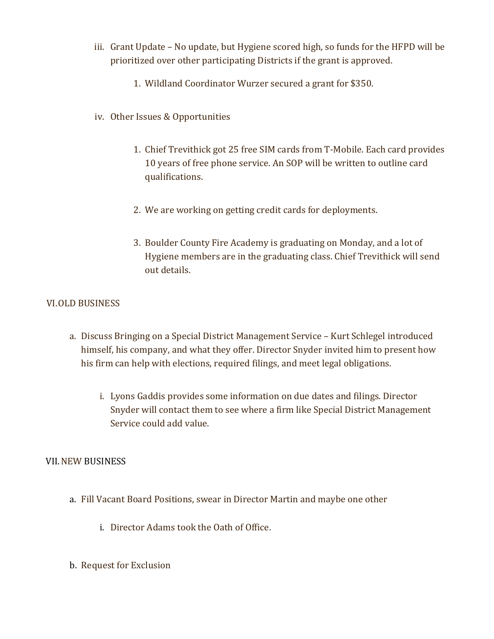- iii. Grant Update No update, but Hygiene scored high, so funds for the HFPD will be prioritized over other participating Districts if the grant is approved.
	- 1. Wildland Coordinator Wurzer secured a grant for \$350.
- iv. Other Issues & Opportunities
	- 1. Chief Trevithick got 25 free SIM cards from T-Mobile. Each card provides 10 years of free phone service. An SOP will be written to outline card qualifications.
	- 2. We are working on getting credit cards for deployments.
	- 3. Boulder County Fire Academy is graduating on Monday, and a lot of Hygiene members are in the graduating class. Chief Trevithick will send out details.

## VI.OLD BUSINESS

- a. Discuss Bringing on a Special District Management Service Kurt Schlegel introduced himself, his company, and what they offer. Director Snyder invited him to present how his firm can help with elections, required filings, and meet legal obligations.
	- i. Lyons Gaddis provides some information on due dates and filings. Director Snyder will contact them to see where a firm like Special District Management Service could add value.

## VII.NEW BUSINESS

- a. Fill Vacant Board Positions, swear in Director Martin and maybe one other
	- i. Director Adams took the Oath of Office.
- b. Request for Exclusion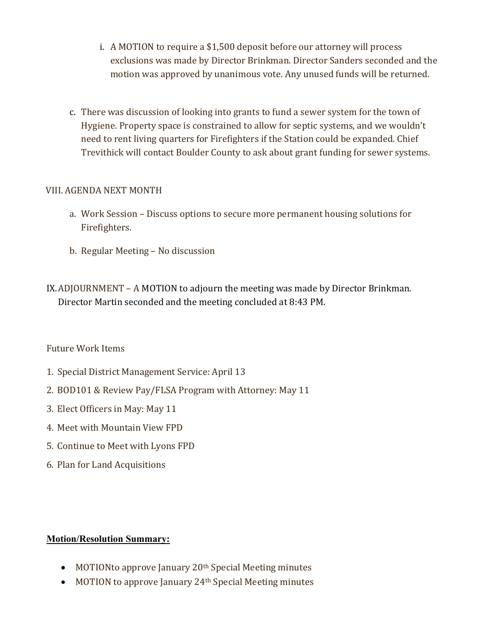- i. A MOTION to require a \$1,500 deposit before our attorney will process exclusions was made by Director Brinkman. Director Sanders seconded and the motion was approved by unanimous vote. Any unused funds will be returned.
- c. There was discussion of looking into grants to fund a sewer system for the town of Hygiene. Property space is constrained to allow for septic systems, and we wouldn't need to rent living quarters for Firefighters if the Station could be expanded. Chief Trevithick will contact Boulder County to ask about grant funding for sewer systems.

## VIII. AGENDA NEXT MONTH

- a. Work Session Discuss options to secure more permanent housing solutions for Firefighters.
- b. Regular Meeting No discussion
- IX.ADJOURNMENT A MOTION to adjourn the meeting was made by Director Brinkman. Director Martin seconded and the meeting concluded at 8:43 PM.

## Future Work Items

- 1. Special District Management Service: April 13
- 2. BOD101 & Review Pay/FLSA Program with Attorney: May 11
- 3. Elect Officers in May: May 11
- 4. Meet with Mountain View FPD
- 5. Continue to Meet with Lyons FPD
- 6. Plan for Land Acquisitions

## Motion/Resolution Summary:

- MOTIONto approve January 20<sup>th</sup> Special Meeting minutes
- MOTION to approve January 24<sup>th</sup> Special Meeting minutes